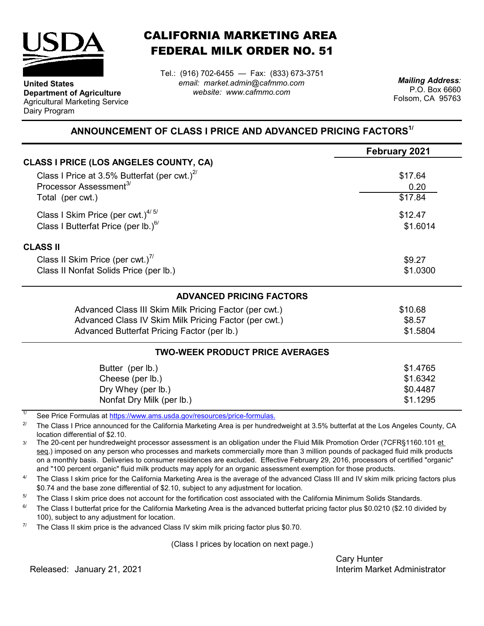

**Department of Agriculture** Agricultural Marketing Service

**United States**

Dairy Program

CALIFORNIA MARKETING AREA FEDERAL MILK ORDER NO. 51

Tel.: (916) 702-6455 — Fax: (833) 673-3751 *email: market.admin@cafmmo.com website: www.cafmmo.com*

*Mailing Address:* P.O. Box 6660 Folsom, CA 95763

## **ANNOUNCEMENT OF CLASS I PRICE AND ADVANCED PRICING FACTORS1/**

|                                                                                | February 2021       |  |  |  |
|--------------------------------------------------------------------------------|---------------------|--|--|--|
| CLASS I PRICE (LOS ANGELES COUNTY, CA)                                         |                     |  |  |  |
| Class I Price at 3.5% Butterfat (per cwt.) $2^{7}$                             | \$17.64             |  |  |  |
| Processor Assessment <sup>3/</sup>                                             | 0.20                |  |  |  |
| Total (per cwt.)                                                               | \$17.84             |  |  |  |
| Class I Skim Price (per cwt.) $4/5/$                                           | \$12.47<br>\$1.6014 |  |  |  |
| Class I Butterfat Price (per lb.) $^{67}$                                      |                     |  |  |  |
| <b>CLASS II</b>                                                                |                     |  |  |  |
| Class II Skim Price (per cwt.) <sup>7/</sup>                                   | \$9.27              |  |  |  |
| Class II Nonfat Solids Price (per lb.)                                         | \$1.0300            |  |  |  |
| <b>ADVANCED PRICING FACTORS</b>                                                |                     |  |  |  |
| Advanced Class III Skim Milk Pricing Factor (per cwt.)                         | \$10.68             |  |  |  |
| Advanced Class IV Skim Milk Pricing Factor (per cwt.)                          | \$8.57              |  |  |  |
| Advanced Butterfat Pricing Factor (per lb.)                                    | \$1.5804            |  |  |  |
| <b>TWO-WEEK PRODUCT PRICE AVERAGES</b>                                         |                     |  |  |  |
| Butter (per lb.)                                                               | \$1.4765            |  |  |  |
| Cheese (per lb.)                                                               | \$1.6342            |  |  |  |
| Dry Whey (per lb.)                                                             | \$0.4487            |  |  |  |
| Nonfat Dry Milk (per lb.)                                                      | \$1.1295            |  |  |  |
| 1/<br>See Dries Fermules at https://www.ams.usdo.gov/resequesce/prise fermules |                     |  |  |  |

[See Price Formulas at h](https://www.ams.usda.gov/resources/price-formulas)ttps://www.ams.usda.gov/resources/price-formulas.

2/ The Class I Price announced for the California Marketing Area is per hundredweight at 3.5% butterfat at the Los Angeles County, CA location differential of \$2.10.

3/ The 20-cent per hundredweight processor assessment is an obligation under the Fluid Milk Promotion Order (7CFR§1160.101 et seq.) imposed on any person who processes and markets commercially more than 3 million pounds of packaged fluid milk products on a monthly basis. Deliveries to consumer residences are excluded. Effective February 29, 2016, processors of certified "organic" and "100 percent organic" fluid milk products may apply for an organic assessment exemption for those products.

4/ The Class I skim price for the California Marketing Area is the average of the advanced Class III and IV skim milk pricing factors plus \$0.74 and the base zone differential of \$2.10, subject to any adjustment for location.

5/ The Class I skim price does not account for the fortification cost associated with the California Minimum Solids Standards.

6/ The Class I butterfat price for the California Marketing Area is the advanced butterfat pricing factor plus \$0.0210 (\$2.10 divided by 100), subject to any adjustment for location.

7/ The Class II skim price is the advanced Class IV skim milk pricing factor plus \$0.70.

(Class I prices by location on next page.)

Cary Hunter Released: Interim Market Administrator January 21, 2021